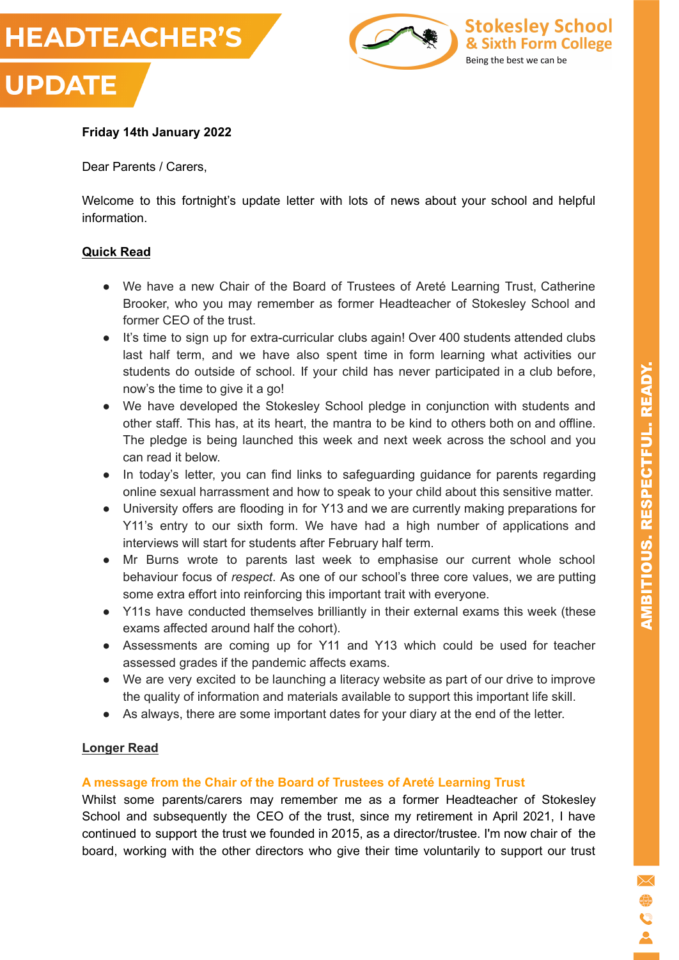



## **Friday 14th January 2022**

Dear Parents / Carers,

Welcome to this fortnight's update letter with lots of news about your school and helpful information.

## **Quick Read**

- We have a new Chair of the Board of Trustees of Areté Learning Trust, Catherine Brooker, who you may remember as former Headteacher of Stokesley School and former CEO of the trust.
- It's time to sign up for extra-curricular clubs again! Over 400 students attended clubs last half term, and we have also spent time in form learning what activities our students do outside of school. If your child has never participated in a club before, now's the time to give it a go!
- We have developed the Stokesley School pledge in conjunction with students and other staff. This has, at its heart, the mantra to be kind to others both on and offline. The pledge is being launched this week and next week across the school and you can read it below.
- In today's letter, you can find links to safeguarding guidance for parents regarding online sexual harrassment and how to speak to your child about this sensitive matter.
- University offers are flooding in for Y13 and we are currently making preparations for Y11's entry to our sixth form. We have had a high number of applications and interviews will start for students after February half term.
- Mr Burns wrote to parents last week to emphasise our current whole school behaviour focus of *respect*. As one of our school's three core values, we are putting some extra effort into reinforcing this important trait with everyone.
- Y11s have conducted themselves brilliantly in their external exams this week (these exams affected around half the cohort).
- Assessments are coming up for Y11 and Y13 which could be used for teacher assessed grades if the pandemic affects exams.
- We are very excited to be launching a literacy website as part of our drive to improve the quality of information and materials available to support this important life skill.
- As always, there are some important dates for your diary at the end of the letter.

## **Longer Read**

## **A message from the Chair of the Board of Trustees of Areté Learning Trust**

Whilst some parents/carers may remember me as a former Headteacher of Stokesley School and subsequently the CEO of the trust, since my retirement in April 2021, I have continued to support the trust we founded in 2015, as a director/trustee. I'm now chair of the board, working with the other directors who give their time voluntarily to support our trust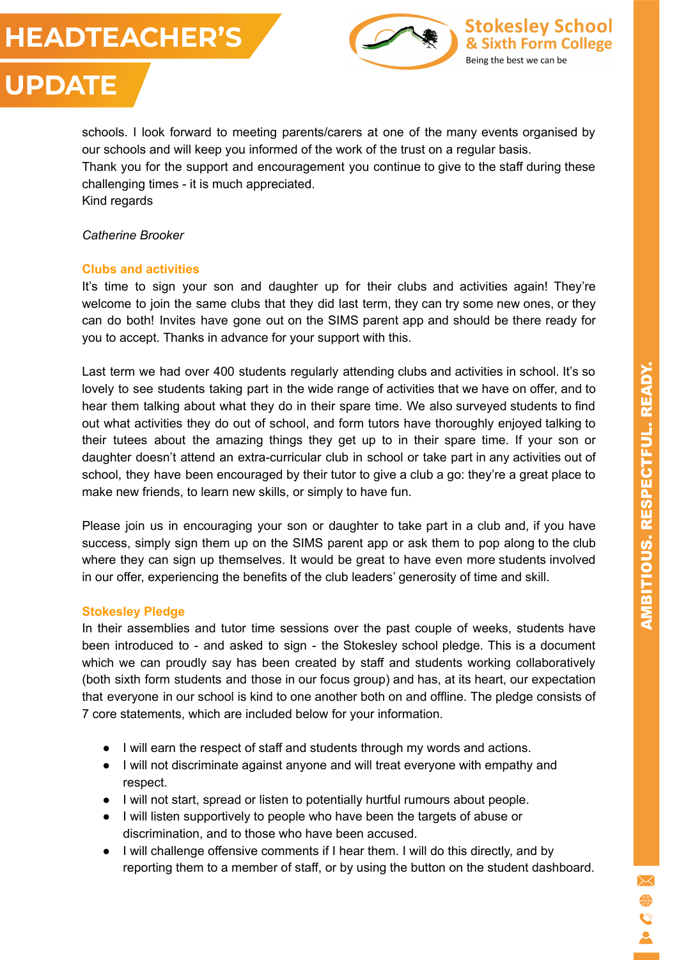





# **UPDATE**

schools. I look forward to meeting parents/carers at one of the many events organised by our schools and will keep you informed of the work of the trust on a regular basis. Thank you for the support and encouragement you continue to give to the staff during these challenging times - it is much appreciated. Kind regards

*Catherine Brooker*

## **Clubs and activities**

It's time to sign your son and daughter up for their clubs and activities again! They're welcome to join the same clubs that they did last term, they can try some new ones, or they can do both! Invites have gone out on the SIMS parent app and should be there ready for you to accept. Thanks in advance for your support with this.

Last term we had over 400 students regularly attending clubs and activities in school. It's so lovely to see students taking part in the wide range of activities that we have on offer, and to hear them talking about what they do in their spare time. We also surveyed students to find out what activities they do out of school, and form tutors have thoroughly enjoyed talking to their tutees about the amazing things they get up to in their spare time. If your son or daughter doesn't attend an extra-curricular club in school or take part in any activities out of school, they have been encouraged by their tutor to give a club a go: they're a great place to make new friends, to learn new skills, or simply to have fun.

Please join us in encouraging your son or daughter to take part in a club and, if you have success, simply sign them up on the SIMS parent app or ask them to pop along to the club where they can sign up themselves. It would be great to have even more students involved in our offer, experiencing the benefits of the club leaders' generosity of time and skill.

## **Stokesley Pledge**

In their assemblies and tutor time sessions over the past couple of weeks, students have been introduced to - and asked to sign - the Stokesley school pledge. This is a document which we can proudly say has been created by staff and students working collaboratively (both sixth form students and those in our focus group) and has, at its heart, our expectation that everyone in our school is kind to one another both on and offline. The pledge consists of 7 core statements, which are included below for your information.

- I will earn the respect of staff and students through my words and actions.
- I will not discriminate against anyone and will treat everyone with empathy and respect.
- I will not start, spread or listen to potentially hurtful rumours about people.
- I will listen supportively to people who have been the targets of abuse or discrimination, and to those who have been accused.
- I will challenge offensive comments if I hear them. I will do this directly, and by reporting them to a member of staff, or by using the button on the student dashboard.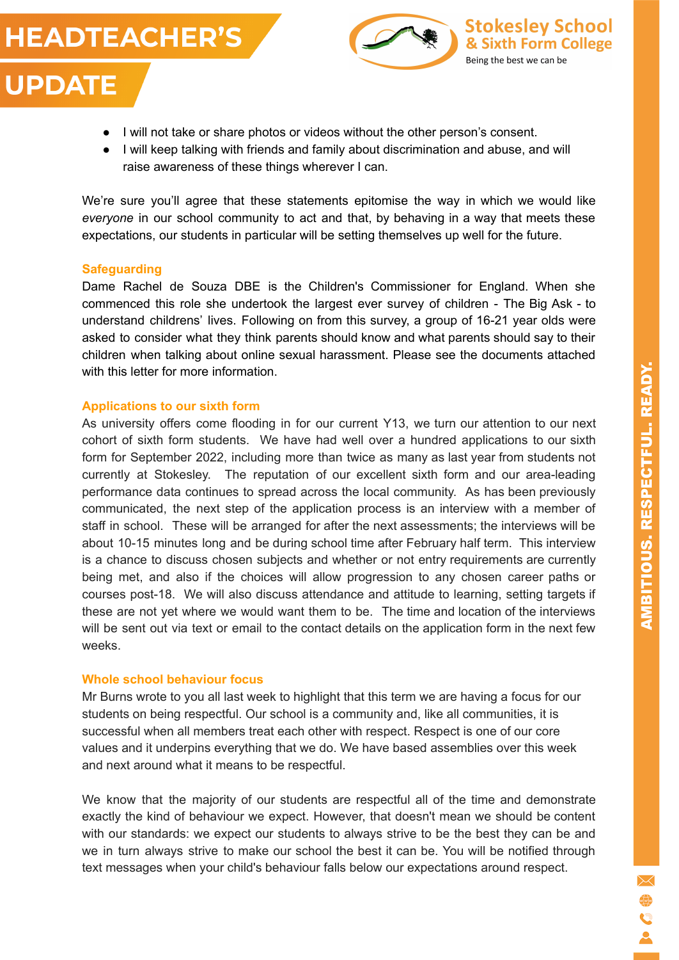- I will not take or share photos or videos without the other person's consent.
- I will keep talking with friends and family about discrimination and abuse, and will raise awareness of these things wherever I can.

We're sure you'll agree that these statements epitomise the way in which we would like *everyone* in our school community to act and that, by behaving in a way that meets these expectations, our students in particular will be setting themselves up well for the future.

## **Safeguarding**

**HEADTEACHER'S** 

**UPDATE** 

Dame Rachel de Souza DBE is the Children's Commissioner for England. When she commenced this role she undertook the largest ever survey of children - The Big Ask - to understand childrens' lives. Following on from this survey, a group of 16-21 year olds were asked to consider what they think parents should know and what parents should say to their children when talking about online sexual harassment. Please see the documents attached with this letter for more information

#### **Applications to our sixth form**

As university offers come flooding in for our current Y13, we turn our attention to our next cohort of sixth form students. We have had well over a hundred applications to our sixth form for September 2022, including more than twice as many as last year from students not currently at Stokesley. The reputation of our excellent sixth form and our area-leading performance data continues to spread across the local community. As has been previously communicated, the next step of the application process is an interview with a member of staff in school. These will be arranged for after the next assessments; the interviews will be about 10-15 minutes long and be during school time after February half term. This interview is a chance to discuss chosen subjects and whether or not entry requirements are currently being met, and also if the choices will allow progression to any chosen career paths or courses post-18. We will also discuss attendance and attitude to learning, setting targets if these are not yet where we would want them to be. The time and location of the interviews will be sent out via text or email to the contact details on the application form in the next few weeks.

## **Whole school behaviour focus**

Mr Burns wrote to you all last week to highlight that this term we are having a focus for our students on being respectful. Our school is a community and, like all communities, it is successful when all members treat each other with respect. Respect is one of our core values and it underpins everything that we do. We have based assemblies over this week and next around what it means to be respectful.

We know that the majority of our students are respectful all of the time and demonstrate exactly the kind of behaviour we expect. However, that doesn't mean we should be content with our standards: we expect our students to always strive to be the best they can be and we in turn always strive to make our school the best it can be. You will be notified through text messages when your child's behaviour falls below our expectations around respect.